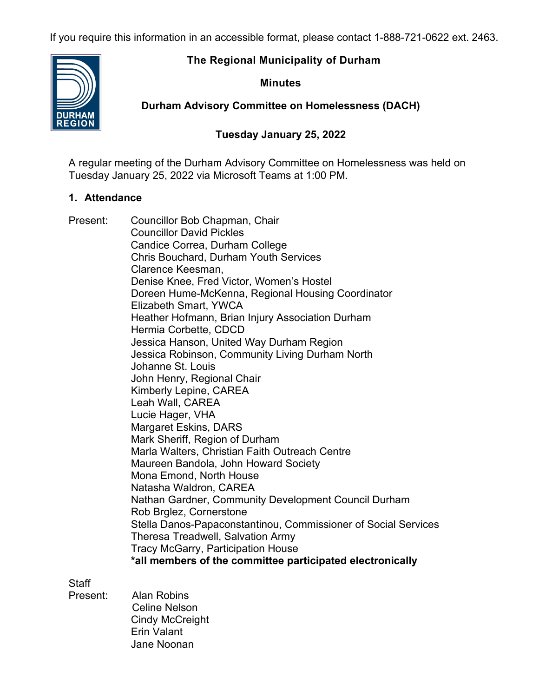If you require this information in an accessible format, please contact 1-888-721-0622 ext. 2463.

## **The Regional Municipality of Durham**

## **Minutes**

**Durham Advisory Committee on Homelessness (DACH)**

# **Tuesday January 25, 2022**

A regular meeting of the Durham Advisory Committee on Homelessness was held on Tuesday January 25, 2022 via Microsoft Teams at 1:00 PM.

## **1. Attendance**

Present: Councillor Bob Chapman, Chair Councillor David Pickles Candice Correa, Durham College Chris Bouchard, Durham Youth Services Clarence Keesman, Denise Knee, Fred Victor, Women's Hostel Doreen Hume-McKenna, Regional Housing Coordinator Elizabeth Smart, YWCA Heather Hofmann, Brian Injury Association Durham Hermia Corbette, CDCD Jessica Hanson, United Way Durham Region Jessica Robinson, Community Living Durham North Johanne St. Louis John Henry, Regional Chair Kimberly Lepine, CAREA Leah Wall, CAREA Lucie Hager, VHA Margaret Eskins, DARS Mark Sheriff, Region of Durham Marla Walters, Christian Faith Outreach Centre Maureen Bandola, John Howard Society Mona Emond, North House Natasha Waldron, CAREA Nathan Gardner, Community Development Council Durham Rob Brglez, Cornerstone Stella Danos-Papaconstantinou, Commissioner of Social Services Theresa Treadwell, Salvation Army Tracy McGarry, Participation House **\*all members of the committee participated electronically**

**Staff** 

Present: Alan Robins Celine Nelson Cindy McCreight Erin Valant Jane Noonan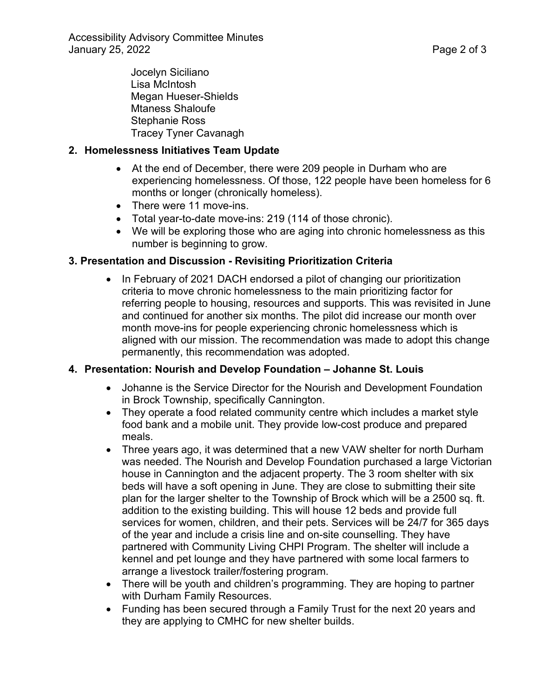Jocelyn Siciliano Lisa McIntosh Megan Hueser-Shields Mtaness Shaloufe Stephanie Ross Tracey Tyner Cavanagh

### **2. Homelessness Initiatives Team Update**

- At the end of December, there were 209 people in Durham who are experiencing homelessness. Of those, 122 people have been homeless for 6 months or longer (chronically homeless).
- There were 11 move-ins.
- Total year-to-date move-ins: 219 (114 of those chronic).
- We will be exploring those who are aging into chronic homelessness as this number is beginning to grow.

### **3. Presentation and Discussion - Revisiting Prioritization Criteria**

• In February of 2021 DACH endorsed a pilot of changing our prioritization criteria to move chronic homelessness to the main prioritizing factor for referring people to housing, resources and supports. This was revisited in June and continued for another six months. The pilot did increase our month over month move-ins for people experiencing chronic homelessness which is aligned with our mission. The recommendation was made to adopt this change permanently, this recommendation was adopted.

#### **4. Presentation: Nourish and Develop Foundation – Johanne St. Louis**

- Johanne is the Service Director for the Nourish and Development Foundation in Brock Township, specifically Cannington.
- They operate a food related community centre which includes a market style food bank and a mobile unit. They provide low-cost produce and prepared meals.
- Three years ago, it was determined that a new VAW shelter for north Durham was needed. The Nourish and Develop Foundation purchased a large Victorian house in Cannington and the adjacent property. The 3 room shelter with six beds will have a soft opening in June. They are close to submitting their site plan for the larger shelter to the Township of Brock which will be a 2500 sq. ft. addition to the existing building. This will house 12 beds and provide full services for women, children, and their pets. Services will be 24/7 for 365 days of the year and include a crisis line and on-site counselling. They have partnered with Community Living CHPI Program. The shelter will include a kennel and pet lounge and they have partnered with some local farmers to arrange a livestock trailer/fostering program.
- There will be youth and children's programming. They are hoping to partner with Durham Family Resources.
- Funding has been secured through a Family Trust for the next 20 years and they are applying to CMHC for new shelter builds.